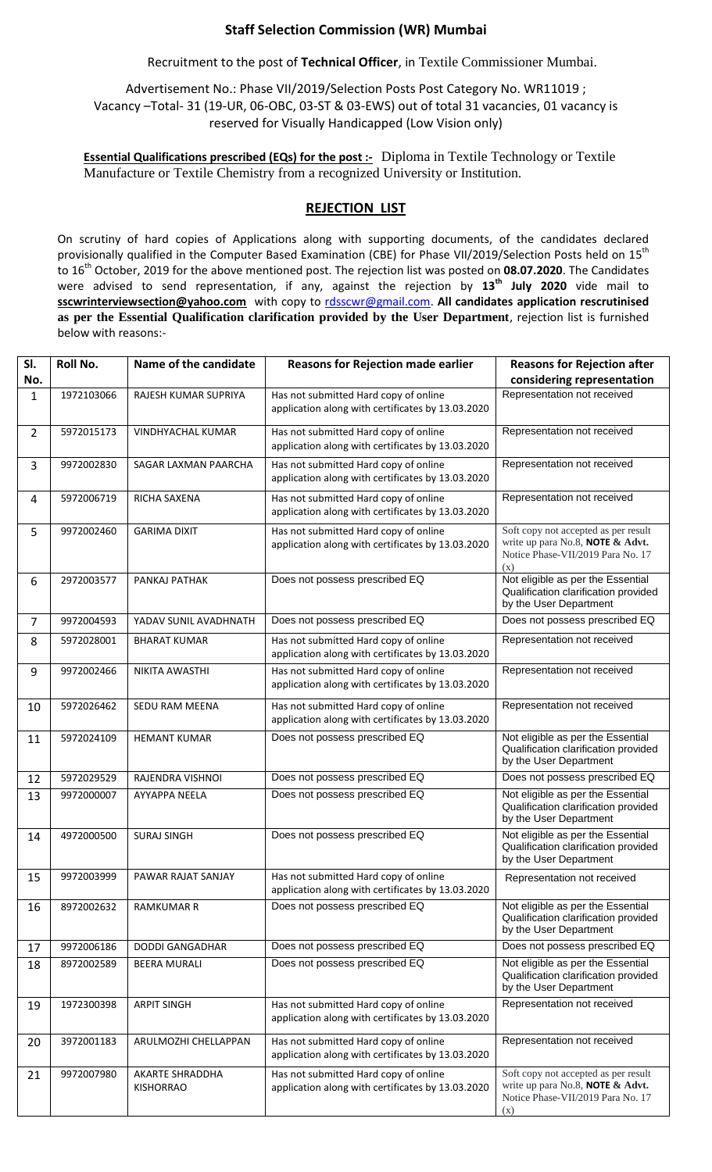## **Staff Selection Commission (WR) Mumbai**

Recruitment to the post of **Technical Officer**, in Textile Commissioner Mumbai.

Advertisement No.: Phase VII/2019/Selection Posts Post Category No. WR11019 ; Vacancy –Total- 31 (19-UR, 06-OBC, 03-ST & 03-EWS) out of total 31 vacancies, 01 vacancy is reserved for Visually Handicapped (Low Vision only)

**Essential Qualifications prescribed (EQs) for the post :-** Diploma in Textile Technology or Textile Manufacture or Textile Chemistry from a recognized University or Institution.

## **REJECTION LIST**

On scrutiny of hard copies of Applications along with supporting documents, of the candidates declared provisionally qualified in the Computer Based Examination (CBE) for Phase VII/2019/Selection Posts held on 15<sup>th</sup> to 16th October, 2019 for the above mentioned post. The rejection list was posted on **08.07.2020**. The Candidates were advised to send representation, if any, against the rejection by **13th July 2020** vide mail to **sscwrinterviewsection@yahoo.com** with copy to [rdsscwr@gmail.com.](mailto:rdsscwr@gmail.com) **All candidates application rescrutinised as per the Essential Qualification clarification provided by the User Department**, rejection list is furnished below with reasons:-

| SI.<br>No.     | <b>Roll No.</b> | Name of the candidate               | <b>Reasons for Rejection made earlier</b>                                                  | <b>Reasons for Rejection after</b><br>considering representation                                                     |
|----------------|-----------------|-------------------------------------|--------------------------------------------------------------------------------------------|----------------------------------------------------------------------------------------------------------------------|
| 1              | 1972103066      | RAJESH KUMAR SUPRIYA                | Has not submitted Hard copy of online<br>application along with certificates by 13.03.2020 | Representation not received                                                                                          |
| $\overline{2}$ | 5972015173      | <b>VINDHYACHAL KUMAR</b>            | Has not submitted Hard copy of online<br>application along with certificates by 13.03.2020 | Representation not received                                                                                          |
| 3              | 9972002830      | SAGAR LAXMAN PAARCHA                | Has not submitted Hard copy of online<br>application along with certificates by 13.03.2020 | Representation not received                                                                                          |
| 4              | 5972006719      | RICHA SAXENA                        | Has not submitted Hard copy of online<br>application along with certificates by 13.03.2020 | Representation not received                                                                                          |
| 5              | 9972002460      | <b>GARIMA DIXIT</b>                 | Has not submitted Hard copy of online<br>application along with certificates by 13.03.2020 | Soft copy not accepted as per result<br>write up para No.8, NOTE & Advt.<br>Notice Phase-VII/2019 Para No. 17<br>(x) |
| 6              | 2972003577      | PANKAJ PATHAK                       | Does not possess prescribed EQ                                                             | Not eligible as per the Essential<br>Qualification clarification provided<br>by the User Department                  |
| $\overline{7}$ | 9972004593      | YADAV SUNIL AVADHNATH               | Does not possess prescribed EQ                                                             | Does not possess prescribed EQ                                                                                       |
| 8              | 5972028001      | <b>BHARAT KUMAR</b>                 | Has not submitted Hard copy of online<br>application along with certificates by 13.03.2020 | Representation not received                                                                                          |
| 9              | 9972002466      | NIKITA AWASTHI                      | Has not submitted Hard copy of online<br>application along with certificates by 13.03.2020 | Representation not received                                                                                          |
| 10             | 5972026462      | SEDU RAM MEENA                      | Has not submitted Hard copy of online<br>application along with certificates by 13.03.2020 | Representation not received                                                                                          |
| 11             | 5972024109      | <b>HEMANT KUMAR</b>                 | Does not possess prescribed EQ                                                             | Not eligible as per the Essential<br>Qualification clarification provided<br>by the User Department                  |
| 12             | 5972029529      | RAJENDRA VISHNOI                    | Does not possess prescribed EQ                                                             | Does not possess prescribed EQ                                                                                       |
| 13             | 9972000007      | <b>AYYAPPA NEELA</b>                | Does not possess prescribed EQ                                                             | Not eligible as per the Essential<br>Qualification clarification provided<br>by the User Department                  |
| 14             | 4972000500      | <b>SURAJ SINGH</b>                  | Does not possess prescribed EQ                                                             | Not eligible as per the Essential<br>Qualification clarification provided<br>by the User Department                  |
| 15             | 9972003999      | <b>PAWAR RAJAT SANJAY</b>           | Has not submitted Hard copy of online<br>application along with certificates by 13.03.2020 | Representation not received                                                                                          |
| 16             | 8972002632      | <b>RAMKUMAR R</b>                   | Does not possess prescribed EQ                                                             | Not eligible as per the Essential<br>Qualification clarification provided<br>by the User Department                  |
| 17             | 9972006186      | DODDI GANGADHAR                     | Does not possess prescribed EQ                                                             | Does not possess prescribed EQ                                                                                       |
| 18             | 8972002589      | <b>BEERA MURALI</b>                 | Does not possess prescribed EQ                                                             | Not eligible as per the Essential<br>Qualification clarification provided<br>by the User Department                  |
| 19             | 1972300398      | <b>ARPIT SINGH</b>                  | Has not submitted Hard copy of online<br>application along with certificates by 13.03.2020 | Representation not received                                                                                          |
| 20             | 3972001183      | ARULMOZHI CHELLAPPAN                | Has not submitted Hard copy of online<br>application along with certificates by 13.03.2020 | Representation not received                                                                                          |
| 21             | 9972007980      | AKARTE SHRADDHA<br><b>KISHORRAO</b> | Has not submitted Hard copy of online<br>application along with certificates by 13.03.2020 | Soft copy not accepted as per result<br>write up para No.8, NOTE & Advt.<br>Notice Phase-VII/2019 Para No. 17<br>(x) |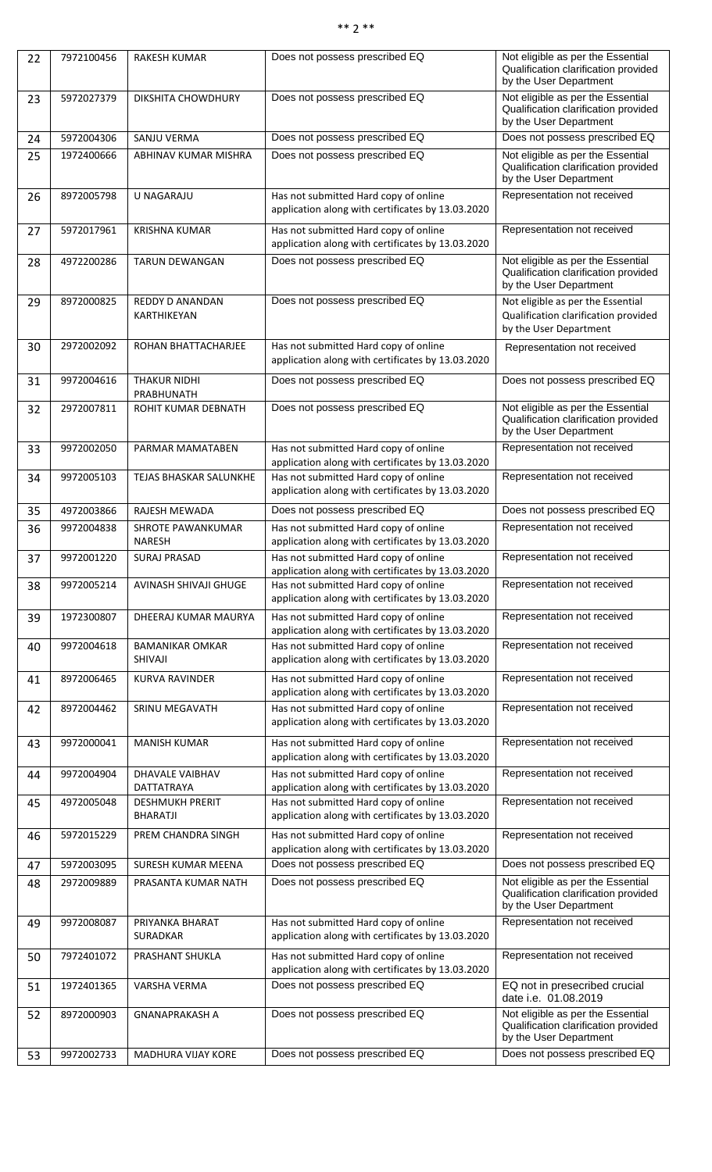## \*\* 2 \*\*

| 22 | 7972100456 | <b>RAKESH KUMAR</b>                       | Does not possess prescribed EQ                                                             | Not eligible as per the Essential<br>Qualification clarification provided<br>by the User Department |
|----|------------|-------------------------------------------|--------------------------------------------------------------------------------------------|-----------------------------------------------------------------------------------------------------|
| 23 | 5972027379 | DIKSHITA CHOWDHURY                        | Does not possess prescribed EQ                                                             | Not eligible as per the Essential<br>Qualification clarification provided<br>by the User Department |
| 24 | 5972004306 | SANJU VERMA                               | Does not possess prescribed EQ                                                             | Does not possess prescribed EQ                                                                      |
| 25 | 1972400666 | ABHINAV KUMAR MISHRA                      | Does not possess prescribed EQ                                                             | Not eligible as per the Essential<br>Qualification clarification provided<br>by the User Department |
| 26 | 8972005798 | U NAGARAJU                                | Has not submitted Hard copy of online<br>application along with certificates by 13.03.2020 | Representation not received                                                                         |
| 27 | 5972017961 | <b>KRISHNA KUMAR</b>                      | Has not submitted Hard copy of online<br>application along with certificates by 13.03.2020 | Representation not received                                                                         |
| 28 | 4972200286 | <b>TARUN DEWANGAN</b>                     | Does not possess prescribed EQ                                                             | Not eligible as per the Essential<br>Qualification clarification provided<br>by the User Department |
| 29 | 8972000825 | <b>REDDY D ANANDAN</b><br>KARTHIKEYAN     | Does not possess prescribed EQ                                                             | Not eligible as per the Essential<br>Qualification clarification provided<br>by the User Department |
| 30 | 2972002092 | ROHAN BHATTACHARJEE                       | Has not submitted Hard copy of online<br>application along with certificates by 13.03.2020 | Representation not received                                                                         |
| 31 | 9972004616 | <b>THAKUR NIDHI</b><br>PRABHUNATH         | Does not possess prescribed EQ                                                             | Does not possess prescribed EQ                                                                      |
| 32 | 2972007811 | ROHIT KUMAR DEBNATH                       | Does not possess prescribed EQ                                                             | Not eligible as per the Essential<br>Qualification clarification provided<br>by the User Department |
| 33 | 9972002050 | PARMAR MAMATABEN                          | Has not submitted Hard copy of online<br>application along with certificates by 13.03.2020 | Representation not received                                                                         |
| 34 | 9972005103 | TEJAS BHASKAR SALUNKHE                    | Has not submitted Hard copy of online<br>application along with certificates by 13.03.2020 | Representation not received                                                                         |
| 35 | 4972003866 | <b>RAJESH MEWADA</b>                      | Does not possess prescribed EQ                                                             | Does not possess prescribed EQ                                                                      |
| 36 | 9972004838 | SHROTE PAWANKUMAR<br><b>NARESH</b>        | Has not submitted Hard copy of online<br>application along with certificates by 13.03.2020 | Representation not received                                                                         |
| 37 | 9972001220 | <b>SURAJ PRASAD</b>                       | Has not submitted Hard copy of online<br>application along with certificates by 13.03.2020 | Representation not received                                                                         |
| 38 | 9972005214 | AVINASH SHIVAJI GHUGE                     | Has not submitted Hard copy of online<br>application along with certificates by 13.03.2020 | Representation not received                                                                         |
| 39 | 1972300807 | DHEERAJ KUMAR MAURYA                      | Has not submitted Hard copy of online<br>application along with certificates by 13.03.2020 | Representation not received                                                                         |
| 40 | 9972004618 | <b>BAMANIKAR OMKAR</b><br><b>SHIVAJI</b>  | Has not submitted Hard copy of online<br>application along with certificates by 13.03.2020 | Representation not received                                                                         |
| 41 | 8972006465 | <b>KURVA RAVINDER</b>                     | Has not submitted Hard copy of online<br>application along with certificates by 13.03.2020 | Representation not received                                                                         |
| 42 | 8972004462 | SRINU MEGAVATH                            | Has not submitted Hard copy of online<br>application along with certificates by 13.03.2020 | Representation not received                                                                         |
| 43 | 9972000041 | <b>MANISH KUMAR</b>                       | Has not submitted Hard copy of online<br>application along with certificates by 13.03.2020 | Representation not received                                                                         |
| 44 | 9972004904 | DHAVALE VAIBHAV<br>DATTATRAYA             | Has not submitted Hard copy of online<br>application along with certificates by 13.03.2020 | Representation not received                                                                         |
| 45 | 4972005048 | <b>DESHMUKH PRERIT</b><br><b>BHARATJI</b> | Has not submitted Hard copy of online<br>application along with certificates by 13.03.2020 | Representation not received                                                                         |
| 46 | 5972015229 | PREM CHANDRA SINGH                        | Has not submitted Hard copy of online<br>application along with certificates by 13.03.2020 | Representation not received                                                                         |
| 47 | 5972003095 | <b>SURESH KUMAR MEENA</b>                 | Does not possess prescribed EQ                                                             | Does not possess prescribed EQ                                                                      |
| 48 | 2972009889 | PRASANTA KUMAR NATH                       | Does not possess prescribed EQ                                                             | Not eligible as per the Essential<br>Qualification clarification provided<br>by the User Department |
| 49 | 9972008087 | PRIYANKA BHARAT<br><b>SURADKAR</b>        | Has not submitted Hard copy of online<br>application along with certificates by 13.03.2020 | Representation not received                                                                         |
| 50 | 7972401072 | PRASHANT SHUKLA                           | Has not submitted Hard copy of online<br>application along with certificates by 13.03.2020 | Representation not received                                                                         |
| 51 | 1972401365 | VARSHA VERMA                              | Does not possess prescribed EQ                                                             | EQ not in presecribed crucial<br>date i.e. 01.08.2019                                               |
| 52 | 8972000903 | <b>GNANAPRAKASH A</b>                     | Does not possess prescribed EQ                                                             | Not eligible as per the Essential<br>Qualification clarification provided<br>by the User Department |
| 53 | 9972002733 | <b>MADHURA VIJAY KORE</b>                 | Does not possess prescribed EQ                                                             | Does not possess prescribed EQ                                                                      |